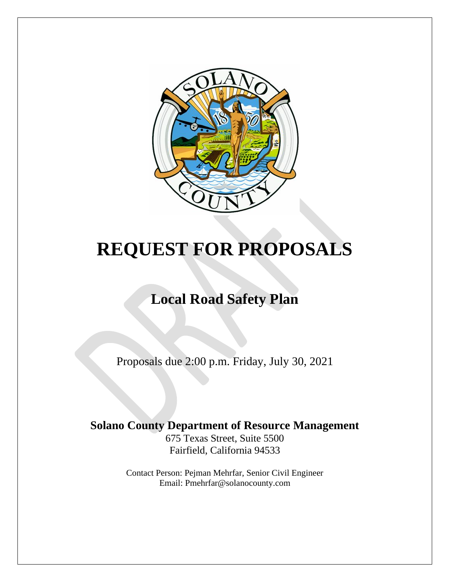

# **REQUEST FOR PROPOSALS**

# **Local Road Safety Plan**

Proposals due 2:00 p.m. Friday, July 30, 2021

# **Solano County Department of Resource Management**

675 Texas Street, Suite 5500 Fairfield, California 94533

Contact Person: Pejman Mehrfar, Senior Civil Engineer Email: Pmehrfar@solanocounty.com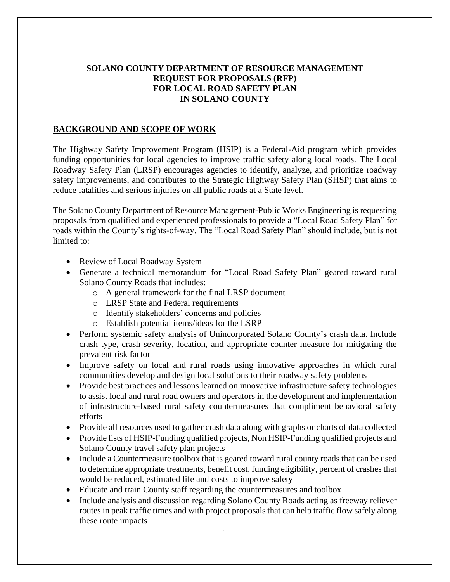# **SOLANO COUNTY DEPARTMENT OF RESOURCE MANAGEMENT REQUEST FOR PROPOSALS (RFP) FOR LOCAL ROAD SAFETY PLAN IN SOLANO COUNTY**

# **BACKGROUND AND SCOPE OF WORK**

The Highway Safety Improvement Program (HSIP) is a Federal-Aid program which provides funding opportunities for local agencies to improve traffic safety along local roads. The Local Roadway Safety Plan (LRSP) encourages agencies to identify, analyze, and prioritize roadway safety improvements, and contributes to the Strategic Highway Safety Plan (SHSP) that aims to reduce fatalities and serious injuries on all public roads at a State level.

The Solano County Department of Resource Management-Public Works Engineering is requesting proposals from qualified and experienced professionals to provide a "Local Road Safety Plan" for roads within the County's rights-of-way. The "Local Road Safety Plan" should include, but is not limited to:

- Review of Local Roadway System
- Generate a technical memorandum for "Local Road Safety Plan" geared toward rural Solano County Roads that includes:
	- o A general framework for the final LRSP document
	- o LRSP State and Federal requirements
	- o Identify stakeholders' concerns and policies
	- o Establish potential items/ideas for the LSRP
- Perform systemic safety analysis of Unincorporated Solano County's crash data. Include crash type, crash severity, location, and appropriate counter measure for mitigating the prevalent risk factor
- Improve safety on local and rural roads using innovative approaches in which rural communities develop and design local solutions to their roadway safety problems
- Provide best practices and lessons learned on innovative infrastructure safety technologies to assist local and rural road owners and operators in the development and implementation of infrastructure-based rural safety countermeasures that compliment behavioral safety efforts
- Provide all resources used to gather crash data along with graphs or charts of data collected
- Provide lists of HSIP-Funding qualified projects, Non HSIP-Funding qualified projects and Solano County travel safety plan projects
- Include a Countermeasure toolbox that is geared toward rural county roads that can be used to determine appropriate treatments, benefit cost, funding eligibility, percent of crashes that would be reduced, estimated life and costs to improve safety
- Educate and train County staff regarding the countermeasures and toolbox
- Include analysis and discussion regarding Solano County Roads acting as freeway reliever routes in peak traffic times and with project proposals that can help traffic flow safely along these route impacts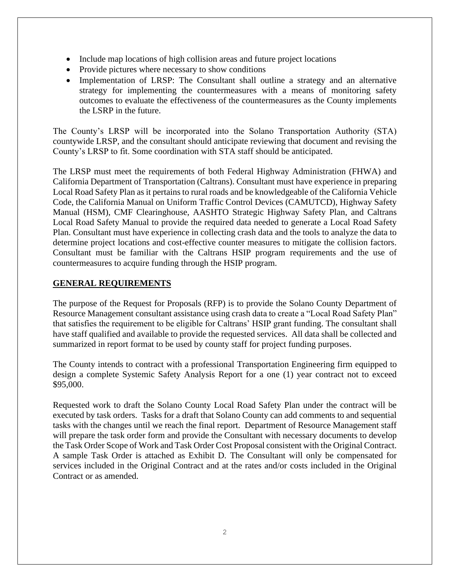- Include map locations of high collision areas and future project locations
- Provide pictures where necessary to show conditions
- Implementation of LRSP: The Consultant shall outline a strategy and an alternative strategy for implementing the countermeasures with a means of monitoring safety outcomes to evaluate the effectiveness of the countermeasures as the County implements the LSRP in the future.

The County's LRSP will be incorporated into the Solano Transportation Authority (STA) countywide LRSP, and the consultant should anticipate reviewing that document and revising the County's LRSP to fit. Some coordination with STA staff should be anticipated.

The LRSP must meet the requirements of both Federal Highway Administration (FHWA) and California Department of Transportation (Caltrans). Consultant must have experience in preparing Local Road Safety Plan as it pertains to rural roads and be knowledgeable of the California Vehicle Code, the California Manual on Uniform Traffic Control Devices (CAMUTCD), Highway Safety Manual (HSM), CMF Clearinghouse, AASHTO Strategic Highway Safety Plan, and Caltrans Local Road Safety Manual to provide the required data needed to generate a Local Road Safety Plan. Consultant must have experience in collecting crash data and the tools to analyze the data to determine project locations and cost-effective counter measures to mitigate the collision factors. Consultant must be familiar with the Caltrans HSIP program requirements and the use of countermeasures to acquire funding through the HSIP program.

# **GENERAL REQUIREMENTS**

The purpose of the Request for Proposals (RFP) is to provide the Solano County Department of Resource Management consultant assistance using crash data to create a "Local Road Safety Plan" that satisfies the requirement to be eligible for Caltrans' HSIP grant funding. The consultant shall have staff qualified and available to provide the requested services. All data shall be collected and summarized in report format to be used by county staff for project funding purposes.

The County intends to contract with a professional Transportation Engineering firm equipped to design a complete Systemic Safety Analysis Report for a one (1) year contract not to exceed \$95,000.

Requested work to draft the Solano County Local Road Safety Plan under the contract will be executed by task orders. Tasks for a draft that Solano County can add comments to and sequential tasks with the changes until we reach the final report. Department of Resource Management staff will prepare the task order form and provide the Consultant with necessary documents to develop the Task Order Scope of Work and Task Order Cost Proposal consistent with the Original Contract. A sample Task Order is attached as Exhibit D. The Consultant will only be compensated for services included in the Original Contract and at the rates and/or costs included in the Original Contract or as amended.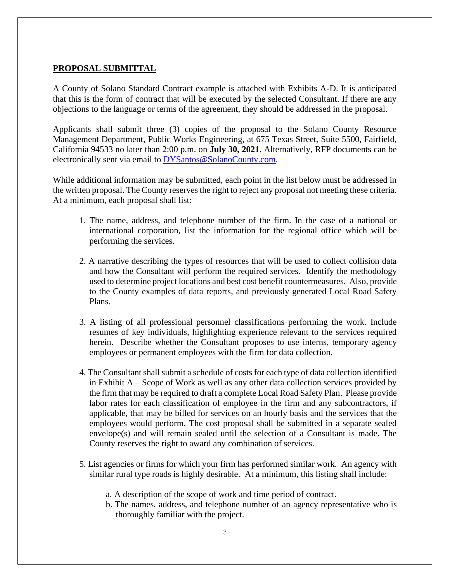#### **PROPOSAL SUBMITTAL**

A County of Solano Standard Contract example is attached with Exhibits A-D. It is anticipated that this is the form of contract that will be executed by the selected Consultant. If there are any objections to the language or terms of the agreement, they should be addressed in the proposal.

Applicants shall submit three (3) copies of the proposal to the Solano County Resource Management Department, Public Works Engineering, at 675 Texas Street, Suite 5500, Fairfield, California 94533 no later than 2:00 p.m. on **July 30, 2021**. Alternatively, RFP documents can be electronically sent via email to [DYSantos@SolanoCounty.com.](DYSantos@SolanoCounty.com)

While additional information may be submitted, each point in the list below must be addressed in the written proposal. The County reserves the right to reject any proposal not meeting these criteria. At a minimum, each proposal shall list:

- 1. The name, address, and telephone number of the firm. In the case of a national or international corporation, list the information for the regional office which will be performing the services.
- 2. A narrative describing the types of resources that will be used to collect collision data and how the Consultant will perform the required services. Identify the methodology used to determine project locations and best cost benefit countermeasures. Also, provide to the County examples of data reports, and previously generated Local Road Safety Plans.
- 3. A listing of all professional personnel classifications performing the work. Include resumes of key individuals, highlighting experience relevant to the services required herein. Describe whether the Consultant proposes to use interns, temporary agency employees or permanent employees with the firm for data collection.
- 4. The Consultant shall submit a schedule of costs for each type of data collection identified in Exhibit A – Scope of Work as well as any other data collection services provided by the firm that may be required to draft a complete Local Road Safety Plan. Please provide labor rates for each classification of employee in the firm and any subcontractors, if applicable, that may be billed for services on an hourly basis and the services that the employees would perform. The cost proposal shall be submitted in a separate sealed envelope(s) and will remain sealed until the selection of a Consultant is made. The County reserves the right to award any combination of services.
- 5. List agencies or firms for which your firm has performed similar work. An agency with similar rural type roads is highly desirable. At a minimum, this listing shall include:
	- a. A description of the scope of work and time period of contract.
	- b. The names, address, and telephone number of an agency representative who is thoroughly familiar with the project.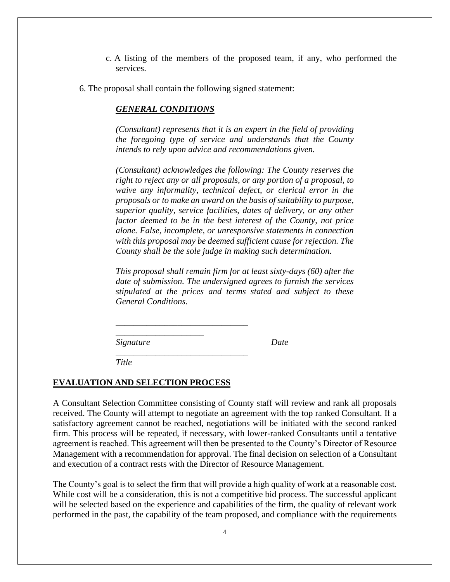- c. A listing of the members of the proposed team, if any, who performed the services.
- 6. The proposal shall contain the following signed statement:

*\_\_\_\_\_\_\_\_\_\_\_\_\_\_\_\_\_\_\_\_\_\_\_\_\_\_\_\_\_\_* 

*\_\_\_\_\_\_\_\_\_\_\_\_\_\_\_\_\_\_\_\_\_\_\_\_\_\_\_\_\_\_*

*\_\_\_\_\_\_\_\_\_\_\_\_\_\_\_\_\_\_\_\_*

# *GENERAL CONDITIONS*

*(Consultant) represents that it is an expert in the field of providing the foregoing type of service and understands that the County intends to rely upon advice and recommendations given.*

*(Consultant) acknowledges the following: The County reserves the right to reject any or all proposals, or any portion of a proposal, to waive any informality, technical defect, or clerical error in the proposals or to make an award on the basis of suitability to purpose, superior quality, service facilities, dates of delivery, or any other factor deemed to be in the best interest of the County, not price alone. False, incomplete, or unresponsive statements in connection with this proposal may be deemed sufficient cause for rejection. The County shall be the sole judge in making such determination.*

*This proposal shall remain firm for at least sixty-days (60) after the date of submission. The undersigned agrees to furnish the services stipulated at the prices and terms stated and subject to these General Conditions.*

*Signature Date*

*Title*

# **EVALUATION AND SELECTION PROCESS**

A Consultant Selection Committee consisting of County staff will review and rank all proposals received. The County will attempt to negotiate an agreement with the top ranked Consultant. If a satisfactory agreement cannot be reached, negotiations will be initiated with the second ranked firm. This process will be repeated, if necessary, with lower-ranked Consultants until a tentative agreement is reached. This agreement will then be presented to the County's Director of Resource Management with a recommendation for approval. The final decision on selection of a Consultant and execution of a contract rests with the Director of Resource Management.

The County's goal is to select the firm that will provide a high quality of work at a reasonable cost. While cost will be a consideration, this is not a competitive bid process. The successful applicant will be selected based on the experience and capabilities of the firm, the quality of relevant work performed in the past, the capability of the team proposed, and compliance with the requirements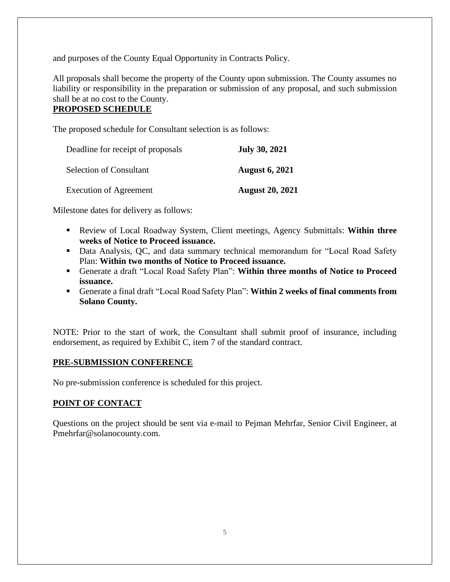and purposes of the County Equal Opportunity in Contracts Policy.

All proposals shall become the property of the County upon submission. The County assumes no liability or responsibility in the preparation or submission of any proposal, and such submission shall be at no cost to the County.

# **PROPOSED SCHEDULE**

The proposed schedule for Consultant selection is as follows:

| Deadline for receipt of proposals | <b>July 30, 2021</b>   |
|-----------------------------------|------------------------|
| <b>Selection of Consultant</b>    | <b>August 6, 2021</b>  |
| <b>Execution of Agreement</b>     | <b>August 20, 2021</b> |

Milestone dates for delivery as follows:

- Review of Local Roadway System, Client meetings, Agency Submittals: **Within three weeks of Notice to Proceed issuance.**
- Data Analysis, QC, and data summary technical memorandum for "Local Road Safety Plan: **Within two months of Notice to Proceed issuance.**
- Generate a draft "Local Road Safety Plan": **Within three months of Notice to Proceed issuance.**
- Generate a final draft "Local Road Safety Plan": **Within 2 weeks of final comments from Solano County.**

NOTE: Prior to the start of work, the Consultant shall submit proof of insurance, including endorsement, as required by Exhibit C, item 7 of the standard contract.

# **PRE-SUBMISSION CONFERENCE**

No pre-submission conference is scheduled for this project.

# **POINT OF CONTACT**

Questions on the project should be sent via e-mail to Pejman Mehrfar, Senior Civil Engineer, at Pmehrfar@solanocounty.com.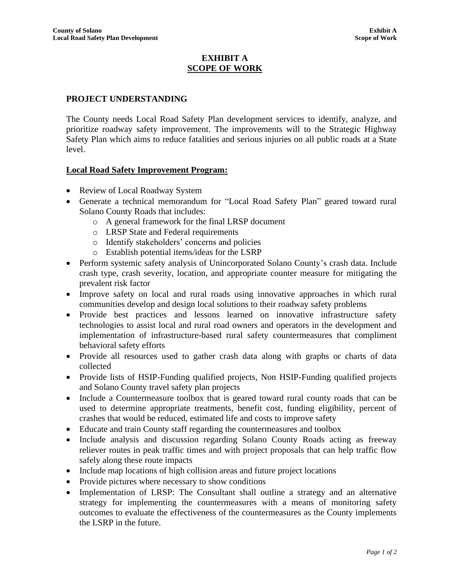# **EXHIBIT A SCOPE OF WORK**

# **PROJECT UNDERSTANDING**

The County needs Local Road Safety Plan development services to identify, analyze, and prioritize roadway safety improvement. The improvements will to the Strategic Highway Safety Plan which aims to reduce fatalities and serious injuries on all public roads at a State level.

# **Local Road Safety Improvement Program:**

- Review of Local Roadway System
- Generate a technical memorandum for "Local Road Safety Plan" geared toward rural Solano County Roads that includes:
	- o A general framework for the final LRSP document
	- o LRSP State and Federal requirements
	- o Identify stakeholders' concerns and policies
	- o Establish potential items/ideas for the LSRP
- Perform systemic safety analysis of Unincorporated Solano County's crash data. Include crash type, crash severity, location, and appropriate counter measure for mitigating the prevalent risk factor
- Improve safety on local and rural roads using innovative approaches in which rural communities develop and design local solutions to their roadway safety problems
- Provide best practices and lessons learned on innovative infrastructure safety technologies to assist local and rural road owners and operators in the development and implementation of infrastructure-based rural safety countermeasures that compliment behavioral safety efforts
- Provide all resources used to gather crash data along with graphs or charts of data collected
- Provide lists of HSIP-Funding qualified projects, Non HSIP-Funding qualified projects and Solano County travel safety plan projects
- Include a Countermeasure toolbox that is geared toward rural county roads that can be used to determine appropriate treatments, benefit cost, funding eligibility, percent of crashes that would be reduced, estimated life and costs to improve safety
- Educate and train County staff regarding the countermeasures and toolbox
- Include analysis and discussion regarding Solano County Roads acting as freeway reliever routes in peak traffic times and with project proposals that can help traffic flow safely along these route impacts
- Include map locations of high collision areas and future project locations
- Provide pictures where necessary to show conditions
- Implementation of LRSP: The Consultant shall outline a strategy and an alternative strategy for implementing the countermeasures with a means of monitoring safety outcomes to evaluate the effectiveness of the countermeasures as the County implements the LSRP in the future.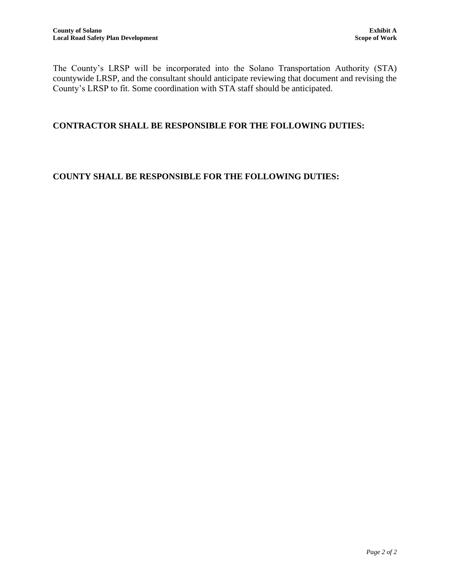The County's LRSP will be incorporated into the Solano Transportation Authority (STA) countywide LRSP, and the consultant should anticipate reviewing that document and revising the County's LRSP to fit. Some coordination with STA staff should be anticipated.

# **CONTRACTOR SHALL BE RESPONSIBLE FOR THE FOLLOWING DUTIES:**

# **COUNTY SHALL BE RESPONSIBLE FOR THE FOLLOWING DUTIES:**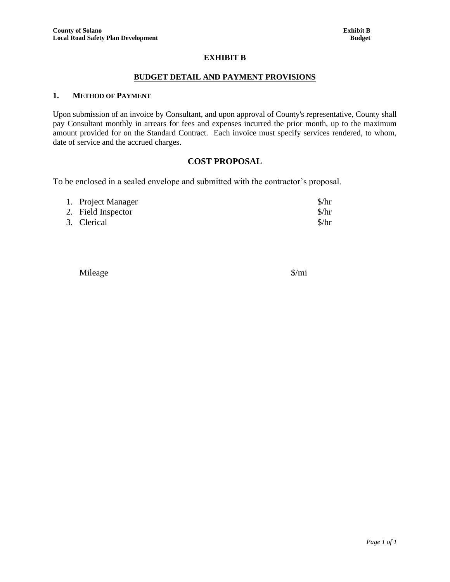#### **EXHIBIT B**

#### **BUDGET DETAIL AND PAYMENT PROVISIONS**

#### **1. METHOD OF PAYMENT**

Upon submission of an invoice by Consultant, and upon approval of County's representative, County shall pay Consultant monthly in arrears for fees and expenses incurred the prior month, up to the maximum amount provided for on the Standard Contract. Each invoice must specify services rendered, to whom, date of service and the accrued charges.

#### **COST PROPOSAL**

To be enclosed in a sealed envelope and submitted with the contractor's proposal.

| 1. Project Manager | $\frac{\sinh(\theta)}{\sinh(\theta)}$ |
|--------------------|---------------------------------------|
| 2. Field Inspector | $\frac{\sinh(\theta)}{\sinh(\theta)}$ |
| 3. Clerical        | $\frac{\sinh(\theta)}{\sinh(\theta)}$ |

Mileage \$/mi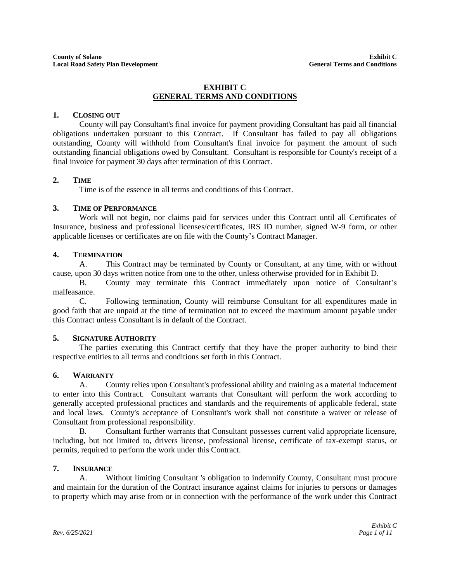#### **EXHIBIT C GENERAL TERMS AND CONDITIONS**

#### **1. CLOSING OUT**

County will pay Consultant's final invoice for payment providing Consultant has paid all financial obligations undertaken pursuant to this Contract. If Consultant has failed to pay all obligations outstanding, County will withhold from Consultant's final invoice for payment the amount of such outstanding financial obligations owed by Consultant. Consultant is responsible for County's receipt of a final invoice for payment 30 days after termination of this Contract.

#### **2. TIME**

Time is of the essence in all terms and conditions of this Contract.

#### **3. TIME OF PERFORMANCE**

Work will not begin, nor claims paid for services under this Contract until all Certificates of Insurance, business and professional licenses/certificates, IRS ID number, signed W-9 form, or other applicable licenses or certificates are on file with the County's Contract Manager.

#### **4. TERMINATION**

A. This Contract may be terminated by County or Consultant, at any time, with or without cause, upon 30 days written notice from one to the other, unless otherwise provided for in Exhibit D.

B. County may terminate this Contract immediately upon notice of Consultant's malfeasance.

C. Following termination, County will reimburse Consultant for all expenditures made in good faith that are unpaid at the time of termination not to exceed the maximum amount payable under this Contract unless Consultant is in default of the Contract.

#### **5. SIGNATURE AUTHORITY**

The parties executing this Contract certify that they have the proper authority to bind their respective entities to all terms and conditions set forth in this Contract.

#### **6. WARRANTY**

A. County relies upon Consultant's professional ability and training as a material inducement to enter into this Contract. Consultant warrants that Consultant will perform the work according to generally accepted professional practices and standards and the requirements of applicable federal, state and local laws. County's acceptance of Consultant's work shall not constitute a waiver or release of Consultant from professional responsibility.

B. Consultant further warrants that Consultant possesses current valid appropriate licensure, including, but not limited to, drivers license, professional license, certificate of tax-exempt status, or permits, required to perform the work under this Contract.

#### **7. INSURANCE**

A. Without limiting Consultant 's obligation to indemnify County, Consultant must procure and maintain for the duration of the Contract insurance against claims for injuries to persons or damages to property which may arise from or in connection with the performance of the work under this Contract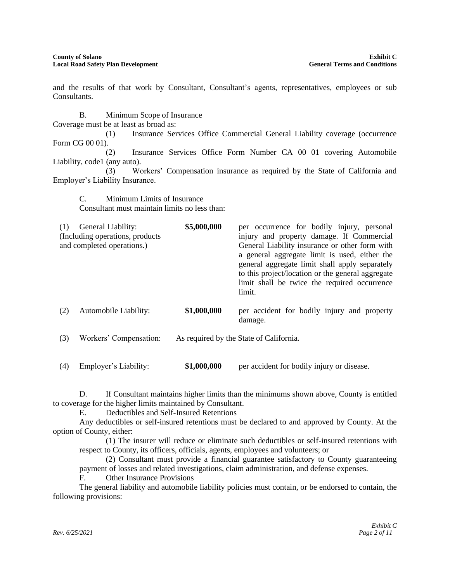and the results of that work by Consultant, Consultant's agents, representatives, employees or sub Consultants.

B. Minimum Scope of Insurance Coverage must be at least as broad as: (1) Insurance Services Office Commercial General Liability coverage (occurrence

Form CG 00 01). (2) Insurance Services Office Form Number CA 00 01 covering Automobile Liability, code1 (any auto).

(3) Workers' Compensation insurance as required by the State of California and Employer's Liability Insurance.

C. Minimum Limits of Insurance Consultant must maintain limits no less than:

| (1) | General Liability:<br>(Including operations, products)<br>and completed operations.) | \$5,000,000 | per occurrence for bodily injury, personal<br>injury and property damage. If Commercial<br>General Liability insurance or other form with<br>a general aggregate limit is used, either the<br>general aggregate limit shall apply separately<br>to this project/location or the general aggregate<br>limit shall be twice the required occurrence<br>limit. |
|-----|--------------------------------------------------------------------------------------|-------------|-------------------------------------------------------------------------------------------------------------------------------------------------------------------------------------------------------------------------------------------------------------------------------------------------------------------------------------------------------------|
| (2) | Automobile Liability:                                                                | \$1,000,000 | per accident for bodily injury and property<br>damage.                                                                                                                                                                                                                                                                                                      |
| (3) | Workers' Compensation:                                                               |             | As required by the State of California.                                                                                                                                                                                                                                                                                                                     |

(4) Employer's Liability: **\$1,000,000** per accident for bodily injury or disease.

D. If Consultant maintains higher limits than the minimums shown above, County is entitled to coverage for the higher limits maintained by Consultant.

E. Deductibles and Self-Insured Retentions

Any deductibles or self-insured retentions must be declared to and approved by County. At the option of County, either:

(1) The insurer will reduce or eliminate such deductibles or self-insured retentions with respect to County, its officers, officials, agents, employees and volunteers; or

(2) Consultant must provide a financial guarantee satisfactory to County guaranteeing payment of losses and related investigations, claim administration, and defense expenses.

F. Other Insurance Provisions

The general liability and automobile liability policies must contain, or be endorsed to contain, the following provisions: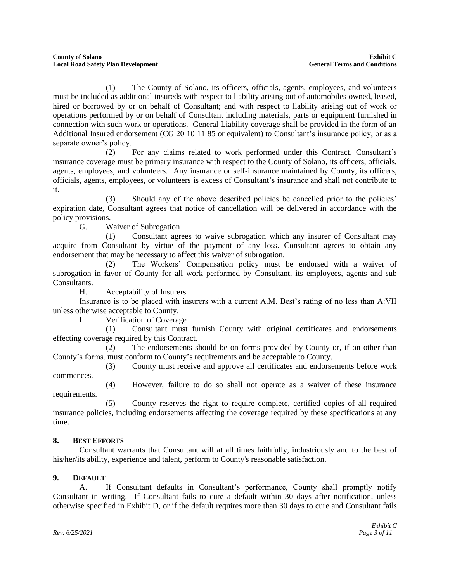(1) The County of Solano, its officers, officials, agents, employees, and volunteers must be included as additional insureds with respect to liability arising out of automobiles owned, leased, hired or borrowed by or on behalf of Consultant; and with respect to liability arising out of work or operations performed by or on behalf of Consultant including materials, parts or equipment furnished in connection with such work or operations. General Liability coverage shall be provided in the form of an Additional Insured endorsement (CG 20 10 11 85 or equivalent) to Consultant's insurance policy, or as a separate owner's policy.

(2) For any claims related to work performed under this Contract, Consultant's insurance coverage must be primary insurance with respect to the County of Solano, its officers, officials, agents, employees, and volunteers. Any insurance or self-insurance maintained by County, its officers, officials, agents, employees, or volunteers is excess of Consultant's insurance and shall not contribute to it.

Should any of the above described policies be cancelled prior to the policies' expiration date, Consultant agrees that notice of cancellation will be delivered in accordance with the policy provisions.

G. Waiver of Subrogation

(1) Consultant agrees to waive subrogation which any insurer of Consultant may acquire from Consultant by virtue of the payment of any loss. Consultant agrees to obtain any endorsement that may be necessary to affect this waiver of subrogation.

(2) The Workers' Compensation policy must be endorsed with a waiver of subrogation in favor of County for all work performed by Consultant, its employees, agents and sub Consultants.

H. Acceptability of Insurers

Insurance is to be placed with insurers with a current A.M. Best's rating of no less than A:VII unless otherwise acceptable to County.

I. Verification of Coverage

(1) Consultant must furnish County with original certificates and endorsements effecting coverage required by this Contract.

(2) The endorsements should be on forms provided by County or, if on other than County's forms, must conform to County's requirements and be acceptable to County.

(3) County must receive and approve all certificates and endorsements before work commences.

(4) However, failure to do so shall not operate as a waiver of these insurance requirements.

(5) County reserves the right to require complete, certified copies of all required insurance policies, including endorsements affecting the coverage required by these specifications at any time.

# **8. BEST EFFORTS**

Consultant warrants that Consultant will at all times faithfully, industriously and to the best of his/her/its ability, experience and talent, perform to County's reasonable satisfaction.

# **9. DEFAULT**

A. If Consultant defaults in Consultant's performance, County shall promptly notify Consultant in writing. If Consultant fails to cure a default within 30 days after notification, unless otherwise specified in Exhibit D, or if the default requires more than 30 days to cure and Consultant fails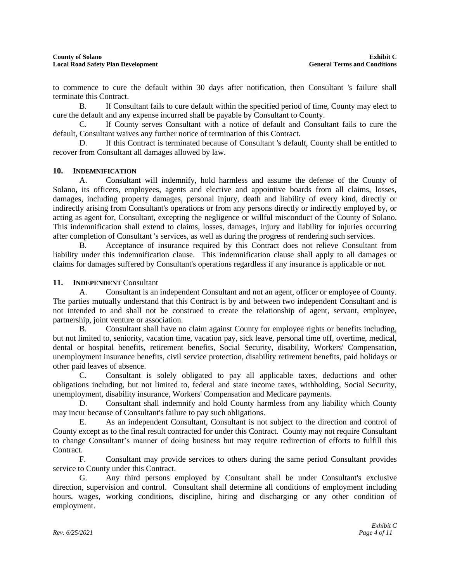to commence to cure the default within 30 days after notification, then Consultant 's failure shall terminate this Contract.

B. If Consultant fails to cure default within the specified period of time, County may elect to cure the default and any expense incurred shall be payable by Consultant to County.

C. If County serves Consultant with a notice of default and Consultant fails to cure the default, Consultant waives any further notice of termination of this Contract.

D. If this Contract is terminated because of Consultant 's default, County shall be entitled to recover from Consultant all damages allowed by law.

#### **10. INDEMNIFICATION**

A. Consultant will indemnify, hold harmless and assume the defense of the County of Solano, its officers, employees, agents and elective and appointive boards from all claims, losses, damages, including property damages, personal injury, death and liability of every kind, directly or indirectly arising from Consultant's operations or from any persons directly or indirectly employed by, or acting as agent for, Consultant, excepting the negligence or willful misconduct of the County of Solano. This indemnification shall extend to claims, losses, damages, injury and liability for injuries occurring after completion of Consultant 's services, as well as during the progress of rendering such services.

B. Acceptance of insurance required by this Contract does not relieve Consultant from liability under this indemnification clause. This indemnification clause shall apply to all damages or claims for damages suffered by Consultant's operations regardless if any insurance is applicable or not.

#### **11. INDEPENDENT** Consultant

A. Consultant is an independent Consultant and not an agent, officer or employee of County. The parties mutually understand that this Contract is by and between two independent Consultant and is not intended to and shall not be construed to create the relationship of agent, servant, employee, partnership, joint venture or association.

B. Consultant shall have no claim against County for employee rights or benefits including, but not limited to, seniority, vacation time, vacation pay, sick leave, personal time off, overtime, medical, dental or hospital benefits, retirement benefits, Social Security, disability, Workers' Compensation, unemployment insurance benefits, civil service protection, disability retirement benefits, paid holidays or other paid leaves of absence.

C. Consultant is solely obligated to pay all applicable taxes, deductions and other obligations including, but not limited to, federal and state income taxes, withholding, Social Security, unemployment, disability insurance, Workers' Compensation and Medicare payments.

D. Consultant shall indemnify and hold County harmless from any liability which County may incur because of Consultant's failure to pay such obligations.

E. As an independent Consultant, Consultant is not subject to the direction and control of County except as to the final result contracted for under this Contract. County may not require Consultant to change Consultant's manner of doing business but may require redirection of efforts to fulfill this Contract.

F. Consultant may provide services to others during the same period Consultant provides service to County under this Contract.

G. Any third persons employed by Consultant shall be under Consultant's exclusive direction, supervision and control. Consultant shall determine all conditions of employment including hours, wages, working conditions, discipline, hiring and discharging or any other condition of employment.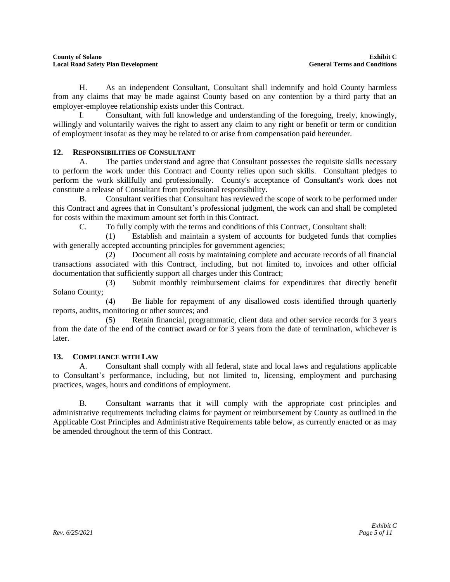H. As an independent Consultant, Consultant shall indemnify and hold County harmless from any claims that may be made against County based on any contention by a third party that an employer-employee relationship exists under this Contract.

I. Consultant, with full knowledge and understanding of the foregoing, freely, knowingly, willingly and voluntarily waives the right to assert any claim to any right or benefit or term or condition of employment insofar as they may be related to or arise from compensation paid hereunder.

# **12. RESPONSIBILITIES OF CONSULTANT**

A. The parties understand and agree that Consultant possesses the requisite skills necessary to perform the work under this Contract and County relies upon such skills. Consultant pledges to perform the work skillfully and professionally. County's acceptance of Consultant's work does not constitute a release of Consultant from professional responsibility.

B. Consultant verifies that Consultant has reviewed the scope of work to be performed under this Contract and agrees that in Consultant's professional judgment, the work can and shall be completed for costs within the maximum amount set forth in this Contract.

C. To fully comply with the terms and conditions of this Contract, Consultant shall:

(1) Establish and maintain a system of accounts for budgeted funds that complies with generally accepted accounting principles for government agencies;

(2) Document all costs by maintaining complete and accurate records of all financial transactions associated with this Contract, including, but not limited to, invoices and other official documentation that sufficiently support all charges under this Contract;

(3) Submit monthly reimbursement claims for expenditures that directly benefit Solano County;

(4) Be liable for repayment of any disallowed costs identified through quarterly reports, audits, monitoring or other sources; and

(5) Retain financial, programmatic, client data and other service records for 3 years from the date of the end of the contract award or for 3 years from the date of termination, whichever is later.

# **13. COMPLIANCE WITH LAW**

A. Consultant shall comply with all federal, state and local laws and regulations applicable to Consultant's performance, including, but not limited to, licensing, employment and purchasing practices, wages, hours and conditions of employment.

B. Consultant warrants that it will comply with the appropriate cost principles and administrative requirements including claims for payment or reimbursement by County as outlined in the Applicable Cost Principles and Administrative Requirements table below, as currently enacted or as may be amended throughout the term of this Contract.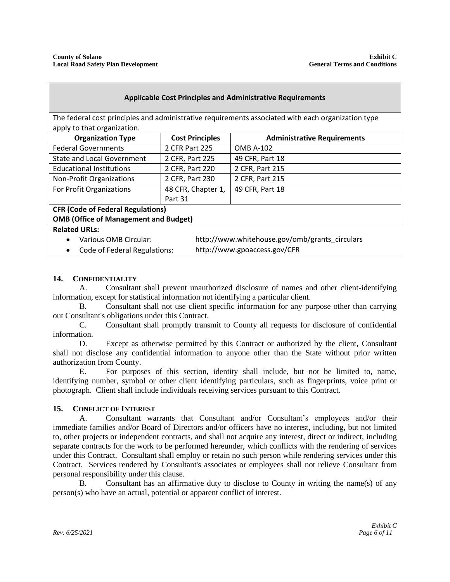| <b>Applicable Cost Principles and Administrative Requirements</b>                                                                 |                        |                                                |  |  |  |  |
|-----------------------------------------------------------------------------------------------------------------------------------|------------------------|------------------------------------------------|--|--|--|--|
| The federal cost principles and administrative requirements associated with each organization type<br>apply to that organization. |                        |                                                |  |  |  |  |
| <b>Organization Type</b>                                                                                                          | <b>Cost Principles</b> | <b>Administrative Requirements</b>             |  |  |  |  |
| <b>Federal Governments</b>                                                                                                        | 2 CFR Part 225         | OMB A-102                                      |  |  |  |  |
| <b>State and Local Government</b>                                                                                                 | 2 CFR, Part 225        | 49 CFR, Part 18                                |  |  |  |  |
| <b>Educational Institutions</b>                                                                                                   | 2 CFR, Part 220        | 2 CFR, Part 215                                |  |  |  |  |
| <b>Non-Profit Organizations</b>                                                                                                   | 2 CFR, Part 230        | 2 CFR, Part 215                                |  |  |  |  |
| For Profit Organizations                                                                                                          | 48 CFR, Chapter 1,     | 49 CFR, Part 18                                |  |  |  |  |
|                                                                                                                                   | Part 31                |                                                |  |  |  |  |
| <b>CFR (Code of Federal Regulations)</b>                                                                                          |                        |                                                |  |  |  |  |
| <b>OMB (Office of Management and Budget)</b>                                                                                      |                        |                                                |  |  |  |  |
| <b>Related URLs:</b>                                                                                                              |                        |                                                |  |  |  |  |
| Various OMB Circular:<br>$\bullet$                                                                                                |                        | http://www.whitehouse.gov/omb/grants circulars |  |  |  |  |
| http://www.gpoaccess.gov/CFR<br><b>Code of Federal Regulations:</b><br>٠                                                          |                        |                                                |  |  |  |  |

#### **14. CONFIDENTIALITY**

A. Consultant shall prevent unauthorized disclosure of names and other client-identifying information, except for statistical information not identifying a particular client.

B. Consultant shall not use client specific information for any purpose other than carrying out Consultant's obligations under this Contract.

C. Consultant shall promptly transmit to County all requests for disclosure of confidential information.

D. Except as otherwise permitted by this Contract or authorized by the client, Consultant shall not disclose any confidential information to anyone other than the State without prior written authorization from County.

E. For purposes of this section, identity shall include, but not be limited to, name, identifying number, symbol or other client identifying particulars, such as fingerprints, voice print or photograph. Client shall include individuals receiving services pursuant to this Contract.

#### **15. CONFLICT OF INTEREST**

A. Consultant warrants that Consultant and/or Consultant's employees and/or their immediate families and/or Board of Directors and/or officers have no interest, including, but not limited to, other projects or independent contracts, and shall not acquire any interest, direct or indirect, including separate contracts for the work to be performed hereunder, which conflicts with the rendering of services under this Contract. Consultant shall employ or retain no such person while rendering services under this Contract. Services rendered by Consultant's associates or employees shall not relieve Consultant from personal responsibility under this clause.

B. Consultant has an affirmative duty to disclose to County in writing the name(s) of any person(s) who have an actual, potential or apparent conflict of interest.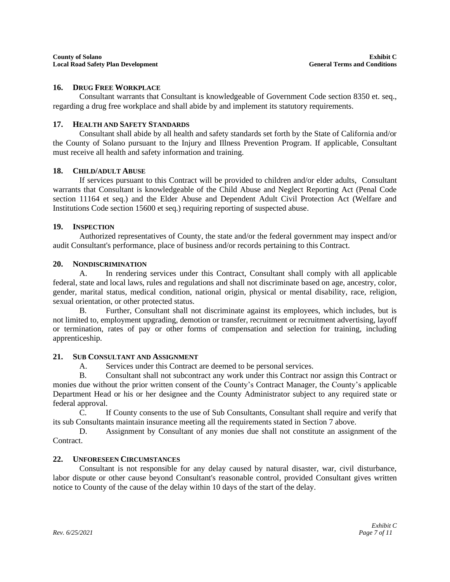#### **16. DRUG FREE WORKPLACE**

Consultant warrants that Consultant is knowledgeable of Government Code section 8350 et. seq., regarding a drug free workplace and shall abide by and implement its statutory requirements.

#### **17. HEALTH AND SAFETY STANDARDS**

Consultant shall abide by all health and safety standards set forth by the State of California and/or the County of Solano pursuant to the Injury and Illness Prevention Program. If applicable, Consultant must receive all health and safety information and training.

#### **18. CHILD/ADULT ABUSE**

If services pursuant to this Contract will be provided to children and/or elder adults, Consultant warrants that Consultant is knowledgeable of the Child Abuse and Neglect Reporting Act (Penal Code section 11164 et seq.) and the Elder Abuse and Dependent Adult Civil Protection Act (Welfare and Institutions Code section 15600 et seq.) requiring reporting of suspected abuse.

#### **19. INSPECTION**

Authorized representatives of County, the state and/or the federal government may inspect and/or audit Consultant's performance, place of business and/or records pertaining to this Contract.

#### **20. NONDISCRIMINATION**

A. In rendering services under this Contract, Consultant shall comply with all applicable federal, state and local laws, rules and regulations and shall not discriminate based on age, ancestry, color, gender, marital status, medical condition, national origin, physical or mental disability, race, religion, sexual orientation, or other protected status.

B. Further, Consultant shall not discriminate against its employees, which includes, but is not limited to, employment upgrading, demotion or transfer, recruitment or recruitment advertising, layoff or termination, rates of pay or other forms of compensation and selection for training, including apprenticeship.

#### **21. SUB CONSULTANT AND ASSIGNMENT**

A. Services under this Contract are deemed to be personal services.

B. Consultant shall not subcontract any work under this Contract nor assign this Contract or monies due without the prior written consent of the County's Contract Manager, the County's applicable Department Head or his or her designee and the County Administrator subject to any required state or federal approval.

C. If County consents to the use of Sub Consultants, Consultant shall require and verify that its sub Consultants maintain insurance meeting all the requirements stated in Section 7 above.

D. Assignment by Consultant of any monies due shall not constitute an assignment of the **Contract** 

#### **22. UNFORESEEN CIRCUMSTANCES**

Consultant is not responsible for any delay caused by natural disaster, war, civil disturbance, labor dispute or other cause beyond Consultant's reasonable control, provided Consultant gives written notice to County of the cause of the delay within 10 days of the start of the delay.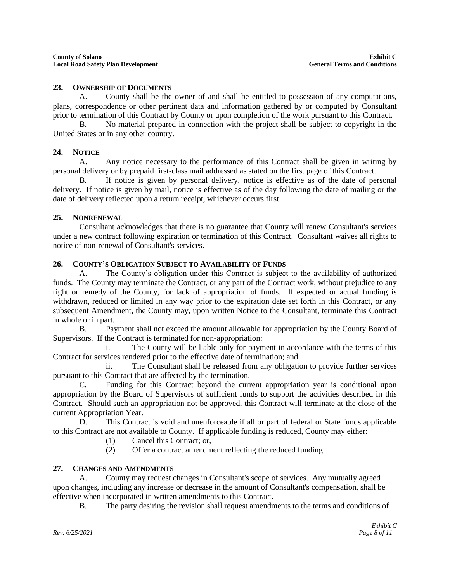#### **23. OWNERSHIP OF DOCUMENTS**

A. County shall be the owner of and shall be entitled to possession of any computations, plans, correspondence or other pertinent data and information gathered by or computed by Consultant prior to termination of this Contract by County or upon completion of the work pursuant to this Contract.

B. No material prepared in connection with the project shall be subject to copyright in the United States or in any other country.

#### **24. NOTICE**

A. Any notice necessary to the performance of this Contract shall be given in writing by personal delivery or by prepaid first-class mail addressed as stated on the first page of this Contract.

B. If notice is given by personal delivery, notice is effective as of the date of personal delivery. If notice is given by mail, notice is effective as of the day following the date of mailing or the date of delivery reflected upon a return receipt, whichever occurs first.

#### **25. NONRENEWAL**

Consultant acknowledges that there is no guarantee that County will renew Consultant's services under a new contract following expiration or termination of this Contract. Consultant waives all rights to notice of non-renewal of Consultant's services.

#### **26. COUNTY'S OBLIGATION SUBJECT TO AVAILABILITY OF FUNDS**

A. The County's obligation under this Contract is subject to the availability of authorized funds. The County may terminate the Contract, or any part of the Contract work, without prejudice to any right or remedy of the County, for lack of appropriation of funds. If expected or actual funding is withdrawn, reduced or limited in any way prior to the expiration date set forth in this Contract, or any subsequent Amendment, the County may, upon written Notice to the Consultant, terminate this Contract in whole or in part.

B. Payment shall not exceed the amount allowable for appropriation by the County Board of Supervisors. If the Contract is terminated for non-appropriation:

i. The County will be liable only for payment in accordance with the terms of this Contract for services rendered prior to the effective date of termination; and

ii. The Consultant shall be released from any obligation to provide further services pursuant to this Contract that are affected by the termination.

C. Funding for this Contract beyond the current appropriation year is conditional upon appropriation by the Board of Supervisors of sufficient funds to support the activities described in this Contract. Should such an appropriation not be approved, this Contract will terminate at the close of the current Appropriation Year.

D. This Contract is void and unenforceable if all or part of federal or State funds applicable to this Contract are not available to County. If applicable funding is reduced, County may either:

- (1) Cancel this Contract; or,
- (2) Offer a contract amendment reflecting the reduced funding.

#### **27. CHANGES AND AMENDMENTS**

A. County may request changes in Consultant's scope of services. Any mutually agreed upon changes, including any increase or decrease in the amount of Consultant's compensation, shall be effective when incorporated in written amendments to this Contract.

B. The party desiring the revision shall request amendments to the terms and conditions of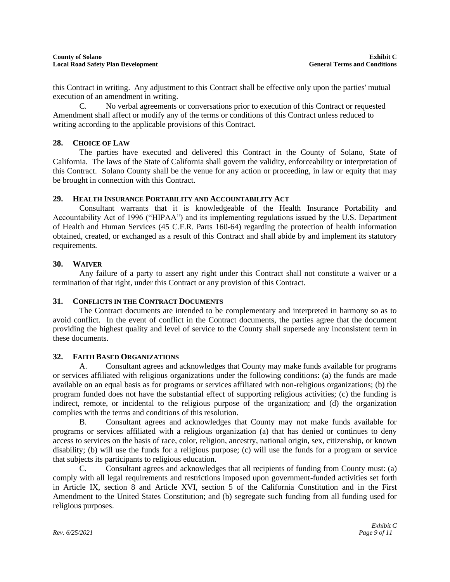this Contract in writing. Any adjustment to this Contract shall be effective only upon the parties' mutual execution of an amendment in writing.

C. No verbal agreements or conversations prior to execution of this Contract or requested Amendment shall affect or modify any of the terms or conditions of this Contract unless reduced to writing according to the applicable provisions of this Contract.

#### **28. CHOICE OF LAW**

The parties have executed and delivered this Contract in the County of Solano, State of California. The laws of the State of California shall govern the validity, enforceability or interpretation of this Contract. Solano County shall be the venue for any action or proceeding, in law or equity that may be brought in connection with this Contract.

#### **29. HEALTH INSURANCE PORTABILITY AND ACCOUNTABILITY ACT**

Consultant warrants that it is knowledgeable of the Health Insurance Portability and Accountability Act of 1996 ("HIPAA") and its implementing regulations issued by the U.S. Department of Health and Human Services (45 C.F.R. Parts 160-64) regarding the protection of health information obtained, created, or exchanged as a result of this Contract and shall abide by and implement its statutory requirements.

#### **30. WAIVER**

Any failure of a party to assert any right under this Contract shall not constitute a waiver or a termination of that right, under this Contract or any provision of this Contract.

# **31. CONFLICTS IN THE CONTRACT DOCUMENTS**

The Contract documents are intended to be complementary and interpreted in harmony so as to avoid conflict. In the event of conflict in the Contract documents, the parties agree that the document providing the highest quality and level of service to the County shall supersede any inconsistent term in these documents.

#### **32. FAITH BASED ORGANIZATIONS**

A. Consultant agrees and acknowledges that County may make funds available for programs or services affiliated with religious organizations under the following conditions: (a) the funds are made available on an equal basis as for programs or services affiliated with non-religious organizations; (b) the program funded does not have the substantial effect of supporting religious activities; (c) the funding is indirect, remote, or incidental to the religious purpose of the organization; and (d) the organization complies with the terms and conditions of this resolution.

B. Consultant agrees and acknowledges that County may not make funds available for programs or services affiliated with a religious organization (a) that has denied or continues to deny access to services on the basis of race, color, religion, ancestry, national origin, sex, citizenship, or known disability; (b) will use the funds for a religious purpose; (c) will use the funds for a program or service that subjects its participants to religious education.

C. Consultant agrees and acknowledges that all recipients of funding from County must: (a) comply with all legal requirements and restrictions imposed upon government-funded activities set forth in Article IX, section 8 and Article XVI, section 5 of the California Constitution and in the First Amendment to the United States Constitution; and (b) segregate such funding from all funding used for religious purposes.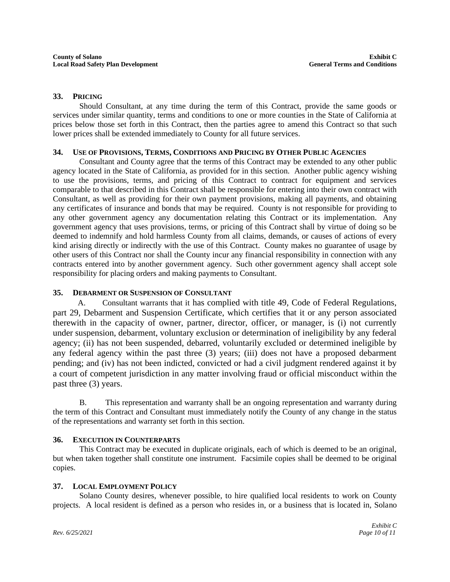#### **33. PRICING**

Should Consultant, at any time during the term of this Contract, provide the same goods or services under similar quantity, terms and conditions to one or more counties in the State of California at prices below those set forth in this Contract, then the parties agree to amend this Contract so that such lower prices shall be extended immediately to County for all future services.

#### **34. USE OF PROVISIONS, TERMS, CONDITIONS AND PRICING BY OTHER PUBLIC AGENCIES**

Consultant and County agree that the terms of this Contract may be extended to any other public agency located in the State of California, as provided for in this section. Another public agency wishing to use the provisions, terms, and pricing of this Contract to contract for equipment and services comparable to that described in this Contract shall be responsible for entering into their own contract with Consultant, as well as providing for their own payment provisions, making all payments, and obtaining any certificates of insurance and bonds that may be required. County is not responsible for providing to any other government agency any documentation relating this Contract or its implementation. Any government agency that uses provisions, terms, or pricing of this Contract shall by virtue of doing so be deemed to indemnify and hold harmless County from all claims, demands, or causes of actions of every kind arising directly or indirectly with the use of this Contract. County makes no guarantee of usage by other users of this Contract nor shall the County incur any financial responsibility in connection with any contracts entered into by another government agency. Such other government agency shall accept sole responsibility for placing orders and making payments to Consultant.

#### **35. DEBARMENT OR SUSPENSION OF CONSULTANT**

 A. Consultant warrants that it has complied with title 49, Code of Federal Regulations, part 29, Debarment and Suspension Certificate, which certifies that it or any person associated therewith in the capacity of owner, partner, director, officer, or manager, is (i) not currently under suspension, debarment, voluntary exclusion or determination of ineligibility by any federal agency; (ii) has not been suspended, debarred, voluntarily excluded or determined ineligible by any federal agency within the past three (3) years; (iii) does not have a proposed debarment pending; and (iv) has not been indicted, convicted or had a civil judgment rendered against it by a court of competent jurisdiction in any matter involving fraud or official misconduct within the past three (3) years.

B. This representation and warranty shall be an ongoing representation and warranty during the term of this Contract and Consultant must immediately notify the County of any change in the status of the representations and warranty set forth in this section.

#### **36. EXECUTION IN COUNTERPARTS**

This Contract may be executed in duplicate originals, each of which is deemed to be an original, but when taken together shall constitute one instrument. Facsimile copies shall be deemed to be original copies.

#### **37. LOCAL EMPLOYMENT POLICY**

Solano County desires, whenever possible, to hire qualified local residents to work on County projects. A local resident is defined as a person who resides in, or a business that is located in, Solano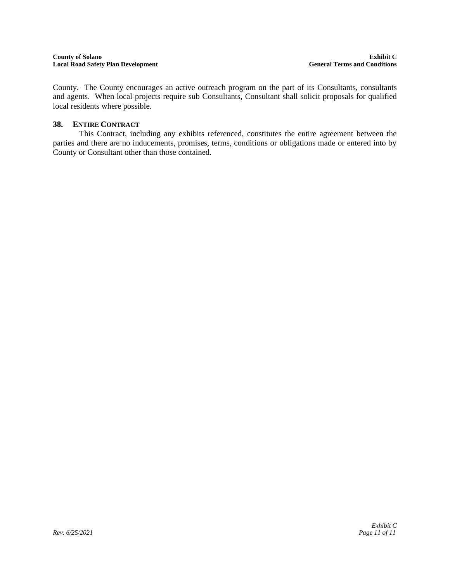#### **County of Solano Exhibit C Local Road Safety Plan Development**

County. The County encourages an active outreach program on the part of its Consultants, consultants and agents. When local projects require sub Consultants, Consultant shall solicit proposals for qualified local residents where possible.

#### **38. ENTIRE CONTRACT**

This Contract, including any exhibits referenced, constitutes the entire agreement between the parties and there are no inducements, promises, terms, conditions or obligations made or entered into by County or Consultant other than those contained.